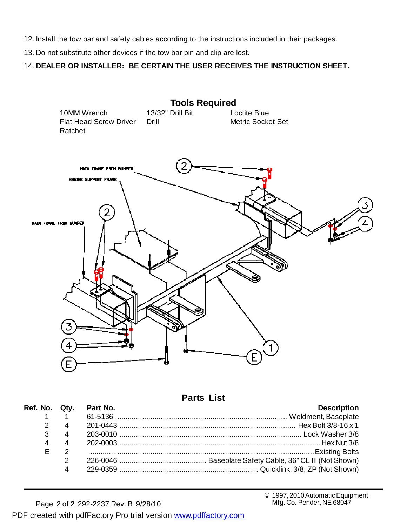- 12. Install the tow bar and safety cables according to the instructions included in their packages.
- 13. Do not substitute other devices if the tow bar pin and clip are lost.

14. **DEALER OR INSTALLER: BE CERTAIN THE USER RECEIVES THE INSTRUCTION SHEET.**



**Parts List**

|   |                        | Ref. No. Qty. Part No. | <b>Description</b> |
|---|------------------------|------------------------|--------------------|
|   | $1 \quad 1$            |                        |                    |
|   | $2 \quad 4$            |                        |                    |
|   | $3 \t 4$               |                        |                    |
|   |                        |                        |                    |
| F |                        |                        |                    |
|   | $\mathcal{P}$          |                        |                    |
|   | $\boldsymbol{\Lambda}$ |                        |                    |